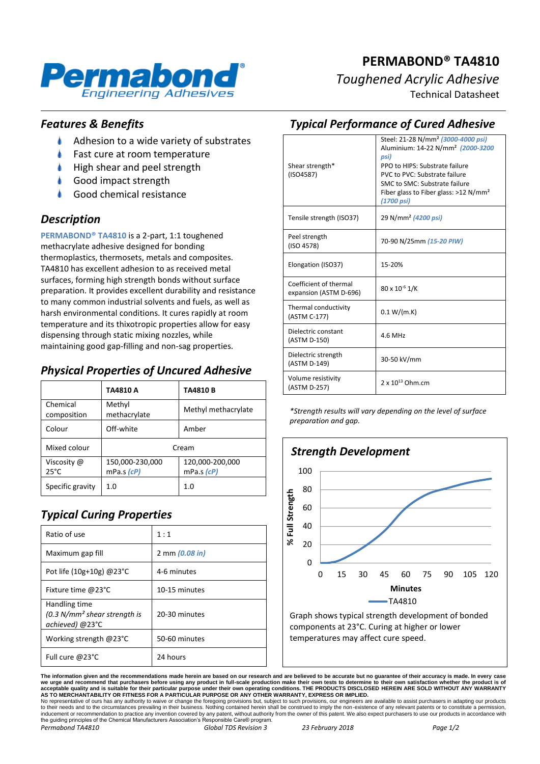

# **PERMABOND® TA4810** *Toughened Acrylic Adhesive*

Technical Datasheet

### *Features & Benefits*

- $\bullet$ Adhesion to a wide variety of substrates
- Fast cure at room temperature
- High shear and peel strength
- Good impact strength
- Good chemical resistance

#### *Description*

**PERMABOND® TA4810** is a 2-part, 1:1 toughened methacrylate adhesive designed for bonding thermoplastics, thermosets, metals and composites. TA4810 has excellent adhesion to as received metal surfaces, forming high strength bonds without surface preparation. It provides excellent durability and resistance to many common industrial solvents and fuels, as well as harsh environmental conditions. It cures rapidly at room temperature and its thixotropic properties allow for easy dispensing through static mixing nozzles, while maintaining good gap-filling and non-sag properties.

## *Physical Properties of Uncured Adhesive*

|                               | TA4810 A                      | <b>TA4810B</b>                      |
|-------------------------------|-------------------------------|-------------------------------------|
| Chemical<br>composition       | Methyl<br>methacrylate        | Methyl methacrylate                 |
| Colour                        | Off-white                     | Amber                               |
| Mixed colour                  | Cream                         |                                     |
| Viscosity @<br>$25^{\circ}$ C | 150,000-230,000<br>mPa.s (cP) | 120,000-200,000<br>$mPa.s$ ( $cP$ ) |
| Specific gravity              | 1.0                           | 1.0                                 |

# *Typical Curing Properties*

| Ratio of use                                                       | 1:1            |
|--------------------------------------------------------------------|----------------|
| Maximum gap fill                                                   | 2 mm (0.08 in) |
| Pot life (10g+10g) $@23$ °C                                        | 4-6 minutes    |
| Fixture time @23°C                                                 | 10-15 minutes  |
| Handling time<br>$(0.3 N/mm2 shear strength is$<br>achieved) @23°C | 20-30 minutes  |
| Working strength $@23^{\circ}C$                                    | 50-60 minutes  |
| Full cure @23°C                                                    | 24 hours       |

## *Typical Performance of Cured Adhesive*

| Shear strength*<br>(ISO4587)                     | Steel: 21-28 N/mm <sup>2</sup> (3000-4000 psi)<br>Aluminium: 14-22 N/mm <sup>2</sup> (2000-3200<br>psi)<br>PPO to HIPS: Substrate failure<br>PVC to PVC: Substrate failure<br>SMC to SMC: Substrate failure<br>Fiber glass to Fiber glass: $>12$ N/mm <sup>2</sup><br>(1700 psi) |
|--------------------------------------------------|----------------------------------------------------------------------------------------------------------------------------------------------------------------------------------------------------------------------------------------------------------------------------------|
| Tensile strength (ISO37)                         | 29 N/mm <sup>2</sup> (4200 psi)                                                                                                                                                                                                                                                  |
| Peel strength<br>(ISO 4578)                      | 70-90 N/25mm (15-20 PIW)                                                                                                                                                                                                                                                         |
| Elongation (ISO37)                               | 15-20%                                                                                                                                                                                                                                                                           |
| Coefficient of thermal<br>expansion (ASTM D-696) | 80 x 10-6 1/K                                                                                                                                                                                                                                                                    |
| Thermal conductivity<br>(ASTM C-177)             | 0.1 W/(m.K)                                                                                                                                                                                                                                                                      |
| Dielectric constant<br>(ASTM D-150)              | 4.6 MHz                                                                                                                                                                                                                                                                          |
| Dielectric strength<br>(ASTM D-149)              | 30-50 kV/mm                                                                                                                                                                                                                                                                      |
| Volume resistivity<br>(ASTM D-257)               | $2 \times 10^{13}$ Ohm.cm                                                                                                                                                                                                                                                        |

*\*Strength results will vary depending on the level of surface preparation and gap.*



components at 23°C. Curing at higher or lower temperatures may affect cure speed.

**The information given and the recommendations made herein are based on our research and are believed to be accurate but no guarantee of their accuracy is made. In every case**  we urge and recommend that purchasers before using any product in full-scale production make their own tests to determine to their own satisfaction whether the product is of<br>acceptable quality and is suitable for their par

No representative of ours has any authority to waive or change the foregoing provisions but, subject to such provisions, our engineers are available to assist purchasers in adapting our products<br>to their needs and to the c *Permabond TA4810 Global TDS Revision 3 23 February 2018 Page 1/2*